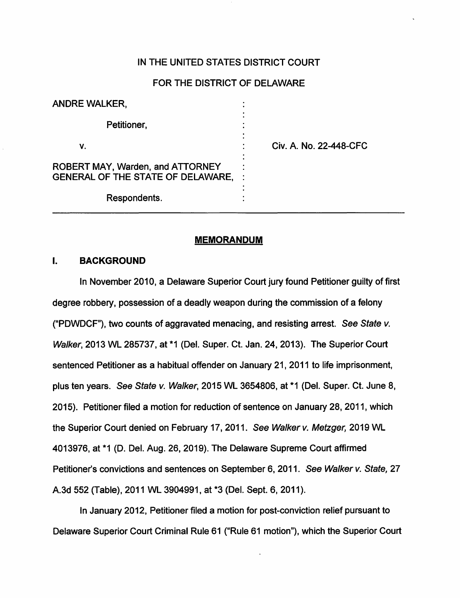## IN THE UNITED STATES DISTRICT COURT

#### FOR THE DISTRICT OF DELAWARE

| <b>ANDRE WALKER,</b>                                                                |                        |
|-------------------------------------------------------------------------------------|------------------------|
| Petitioner,                                                                         |                        |
| ν.                                                                                  | Civ. A. No. 22-448-CFC |
| <b>ROBERT MAY, Warden, and ATTORNEY</b><br><b>GENERAL OF THE STATE OF DELAWARE,</b> |                        |
| Respondents.                                                                        |                        |

#### **MEMORANDUM**

## I. **BACKGROUND**

In November 2010, a Delaware Superior Court jury found Petitioner guilty of first degree robbery, possession of a deadly weapon during the commission of a felony ("PDWDCF"), two counts of aggravated menacing, and resisting arrest. See State  $v$ . Walker, 2013 WL 285737, at \*1 (Del. Super. Ct. Jan. 24, 2013). The Superior Court sentenced Petitioner as a habitual offender on January 21, 2011 to life imprisonment, plus ten years. See State v. Walker, 2015 WL 3654806, at \*1 (Del. Super. Ct. June 8, 2015). Petitioner filed a motion for reduction of sentence on January 28, 2011, which the Superior Court denied on February 17, 2011. See Walker v. Metzger, 2019 WL 4013976, at \*1 (D. Del. Aug. 26, 2019). The Delaware Supreme Court affirmed Petitioner's convictions and sentences on September 6, 2011. See Walker v. State, 27 A.3d 552 (Table), 2011 WL 3904991, at \*3 (Del. Sept. 6, 2011 ).

In January 2012, Petitioner filed a motion for post-conviction relief pursuant to Delaware Superior Court Criminal Rule 61 ("Rule 61 motion"), which the Superior Court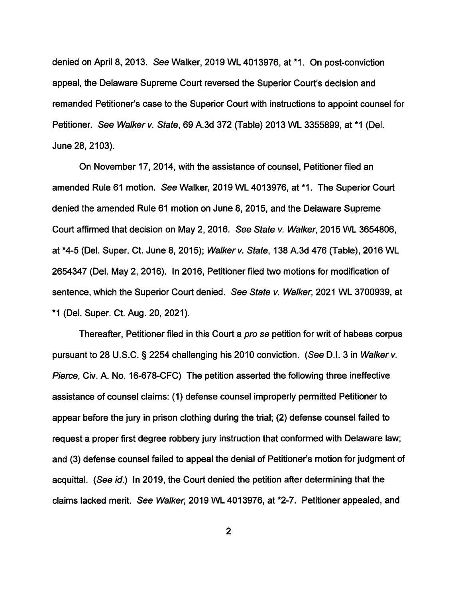denied on April 8, 2013. See Walker, 2019 WL 4013976, at \*1. On post-conviction appeal, the Delaware Supreme Court reversed the Superior Court's decision and remanded Petitioner's case to the Superior Court with instructions to appoint counsel for Petitioner. See Walker v. State, 69 A.3d 372 (Table) 2013 WL 3355899, at \*1 (Del. June 28, 2103).

On November 17, 2014, with the assistance of counsel, Petitioner filed an amended Rule 61 motion. See Walker, 2019 WL 4013976, at \*1. The Superior Court denied the amended Rule 61 motion on June 8, 2015, and the Delaware Supreme Court affirmed that decision on May 2, 2016. See State *v.* Walker, 2015 WL 3654806, at \*4-5 (Del. Super. Ct. June 8, 2015); Walker *v.* State, 138 A.3d 476 (Table), 2016 WL 2654347 (Del. May 2, 2016). In 2016, Petitioner filed two motions for modification of sentence, which the Superior Court denied. See State *v.* Walker, 2021 WL 3700939, at \*1 (Del. Super. Ct. Aug. 20, 2021 ).

Thereafter, Petitioner filed in this Court a pro se petition for writ of habeas corpus pursuant to 28 U.S.C. § 2254 challenging his 2010 conviction. (See D.I. 3 in Walker v. Pierce, Civ. A. No. 16-678-CFC) The petition asserted the following three ineffective assistance of counsel claims: (1) defense counsel improperly permitted Petitioner to appear before the jury in prison clothing during the trial; (2) defense counsel failed to request a proper first degree robbery jury instruction that conformed with Delaware law; and (3) defense counsel failed to appeal the denial of Petitioner's motion for judgment of acquittal. (See id.) In 2019, the Court denied the petition after determining that the claims lacked merit. See Walker, 2019 WL 4013976, at \*2-7. Petitioner appealed, and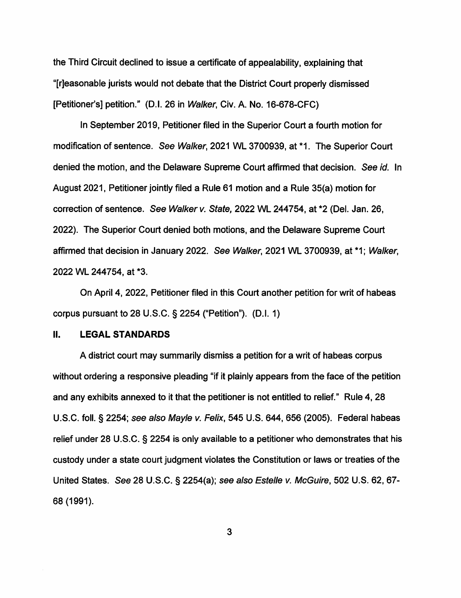the Third Circuit declined to issue a certificate of appealability, explaining that "[r]easonable jurists would not debate that the District Court properly dismissed [Petitioner's] petition." (D.I. 26 in Walker, Civ. A. No. 16-678-CFC)

In September 2019, Petitioner filed in the Superior Court a fourth motion for modification of sentence. See Walker, 2021 WL 3700939, at \*1. The Superior Court denied the motion, and the Delaware Supreme Court affirmed that decision. See id. In August 2021, Petitioner jointly filed a Rule 61 motion and a Rule 35(a) motion for correction of sentence. See Walker v. State, 2022 WL 244754, at \*2 (Del. Jan. 26, 2022). The Superior Court denied both motions, and the Delaware Supreme Court affirmed that decision in January 2022. See Walker, 2021 WL 3700939, at \*1; Walker, 2022 WL 244754, at \*3.

On April 4, 2022, Petitioner filed in this Court another petition for writ of habeas corpus pursuant to 28 U.S.C.  $\S$  2254 ("Petition"). (D.I. 1)

## II. **LEGAL STANDARDS**

A district court may summarily dismiss a petition for a writ of habeas corpus without ordering a responsive pleading "if it plainly appears from the face of the petition and any exhibits annexed to it that the petitioner is not entitled to relief." Rule 4, 28 U.S.C. foll. § 2254; see also Mayle v. Felix, 545 U.S. 644, 656 (2005). Federal habeas relief under 28 U.S.C. § 2254 is only available to a petitioner who demonstrates that his custody under a state court judgment violates the Constitution or laws or treaties of the United States. See 28 U.S.C. § 2254(a); see also Estelle v. McGuire, 502 U.S. 62, 67- 68 (1991).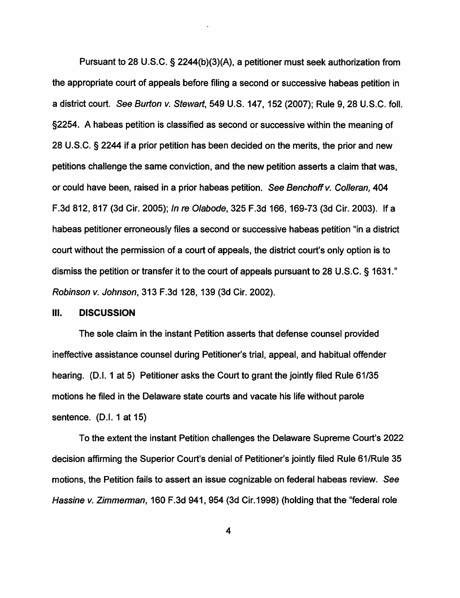Pursuant to 28 U.S.C. § 2244(b)(3)(A), a petitioner must seek authorization from the appropriate court of appeals before filing a second or successive habeas petition in a district court. See Burton v. Stewart, 549 U.S. 147, 152 (2007); Rule 9, 28 U.S.C. foll. §2254. A habeas petition is classified as second or successive within the meaning of 28 U.S.C. § 2244 if a prior petition has been decided on the merits, the prior and new petitions challenge the same conviction, and the new petition asserts a claim that was, or could have been, raised in a prior habeas petition. See Benchoff v. Colleran, 404 F.3d 812, 817 (3d Cir. 2005); In re O/abode, 325 F.3d 166, 169-73 (3d Cir. 2003). If a habeas petitioner erroneously files a second or successive habeas petition "in a district court without the permission of a court of appeals, the district court's only option is to dismiss the petition or transfer it to the court of appeals pursuant to 28 U.S.C. § 1631." Robinson v. Johnson, 313 F.3d 128, 139 (3d Cir. 2002).

#### Ill. **DISCUSSION**

The sole claim in the instant Petition asserts that defense counsel provided ineffective assistance counsel during Petitioner's trial, appeal, and habitual offender hearing. (D.I. 1 at 5) Petitioner asks the Court to grant the jointly filed Rule 61/35 motions he filed in the Delaware state courts and vacate his life without parole sentence. (D.I. 1 at 15)

To the extent the instant Petition challenges the Delaware Supreme Court's 2022 decision affirming the Superior Court's denial of Petitioner's jointly filed Rule 61/Rule 35 motions, the Petition fails to assert an issue cognizable on federal habeas review. See Hassine v. Zimmerman, 160 F.3d 941, 954 (3d Cir.1998) (holding that the "federal role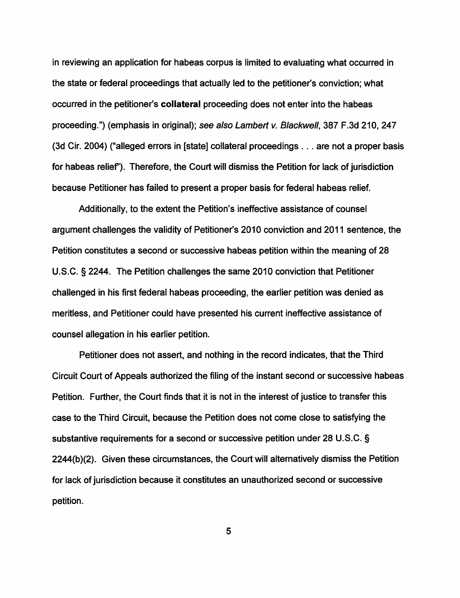in reviewing an application for habeas corpus is limited to evaluating what occurred in the state or federal proceedings that actually led to the petitioner's conviction; what occurred in the petitioner's **collateral** proceeding does not enter into the habeas proceeding.") (emphasis in original); see also Lambert v. Blackwell, 387 F.3d 210, 247 (3d Cir. 2004) ("alleged errors in [state] collateral proceedings ... are not a proper basis for habeas relief'). Therefore, the Court will dismiss the Petition for lack of jurisdiction because Petitioner has failed to present a proper basis for federal habeas relief.

Additionally, to the extent the Petition's ineffective assistance of counsel argument challenges the validity of Petitioner's 2010 conviction and 2011 sentence, the Petition constitutes a second or successive habeas petition within the meaning of 28 U.S.C. § 2244. The Petition challenges the same 2010 conviction that Petitioner challenged in his first federal habeas proceeding, the earlier petition was denied as meritless, and Petitioner could have presented his current ineffective assistance of counsel allegation in his earlier petition.

Petitioner does not assert, and nothing in the record indicates, that the Third Circuit Court of Appeals authorized the filing of the instant second or successive habeas Petition. Further, the Court finds that it is not in the interest of justice to transfer this case to the Third Circuit, because the Petition does not come close to satisfying the substantive requirements for a second or successive petition under 28 U.S.C. § 2244(b)(2). Given these circumstances, the Court will alternatively dismiss the Petition for lack of jurisdiction because it constitutes an unauthorized second or successive petition.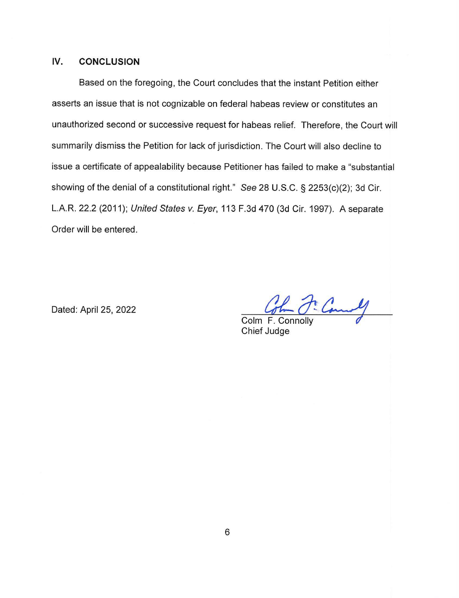# **IV. CONCLUSION**

Based on the foregoing, the Court concludes that the instant Petition either asserts an issue that is not cognizable on federal habeas review or constitutes an unauthorized second or successive request for habeas relief. Therefore, the Court will summarily dismiss the Petition for lack of jurisdiction. The Court will also decline to issue a certificate of appealability because Petitioner has failed to make a "substantial showing of the denial of a constitutional right." See 28 U.S.C. § 2253(c)(2); 3d Cir. L.A.R. 22.2 (2011); United States v. Eyer, 113 F.3d 470 (3d Cir. 1997). A separate Order will be entered.

Dated: April 25, 2022

Colm F. Connolly

Chief Judge